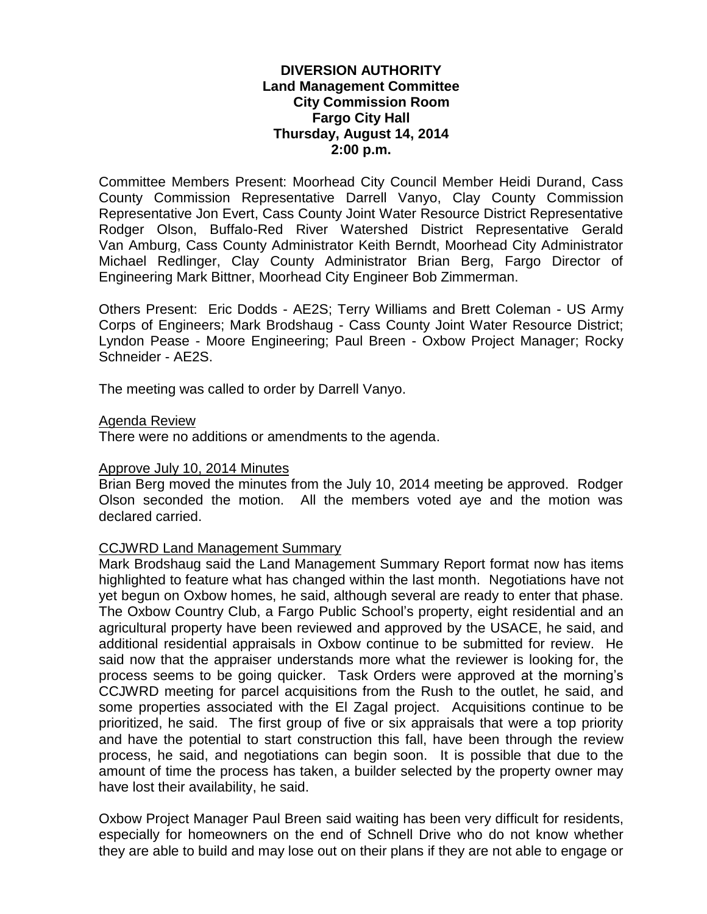# **DIVERSION AUTHORITY Land Management Committee City Commission Room Fargo City Hall Thursday, August 14, 2014 2:00 p.m.**

Committee Members Present: Moorhead City Council Member Heidi Durand, Cass County Commission Representative Darrell Vanyo, Clay County Commission Representative Jon Evert, Cass County Joint Water Resource District Representative Rodger Olson, Buffalo-Red River Watershed District Representative Gerald Van Amburg, Cass County Administrator Keith Berndt, Moorhead City Administrator Michael Redlinger, Clay County Administrator Brian Berg, Fargo Director of Engineering Mark Bittner, Moorhead City Engineer Bob Zimmerman.

Others Present: Eric Dodds - AE2S; Terry Williams and Brett Coleman - US Army Corps of Engineers; Mark Brodshaug - Cass County Joint Water Resource District; Lyndon Pease - Moore Engineering; Paul Breen - Oxbow Project Manager; Rocky Schneider - AE2S.

The meeting was called to order by Darrell Vanyo.

#### Agenda Review

There were no additions or amendments to the agenda.

### Approve July 10, 2014 Minutes

Brian Berg moved the minutes from the July 10, 2014 meeting be approved. Rodger Olson seconded the motion. All the members voted aye and the motion was declared carried.

### CCJWRD Land Management Summary

Mark Brodshaug said the Land Management Summary Report format now has items highlighted to feature what has changed within the last month. Negotiations have not yet begun on Oxbow homes, he said, although several are ready to enter that phase. The Oxbow Country Club, a Fargo Public School's property, eight residential and an agricultural property have been reviewed and approved by the USACE, he said, and additional residential appraisals in Oxbow continue to be submitted for review. He said now that the appraiser understands more what the reviewer is looking for, the process seems to be going quicker. Task Orders were approved at the morning's CCJWRD meeting for parcel acquisitions from the Rush to the outlet, he said, and some properties associated with the El Zagal project. Acquisitions continue to be prioritized, he said. The first group of five or six appraisals that were a top priority and have the potential to start construction this fall, have been through the review process, he said, and negotiations can begin soon. It is possible that due to the amount of time the process has taken, a builder selected by the property owner may have lost their availability, he said.

Oxbow Project Manager Paul Breen said waiting has been very difficult for residents, especially for homeowners on the end of Schnell Drive who do not know whether they are able to build and may lose out on their plans if they are not able to engage or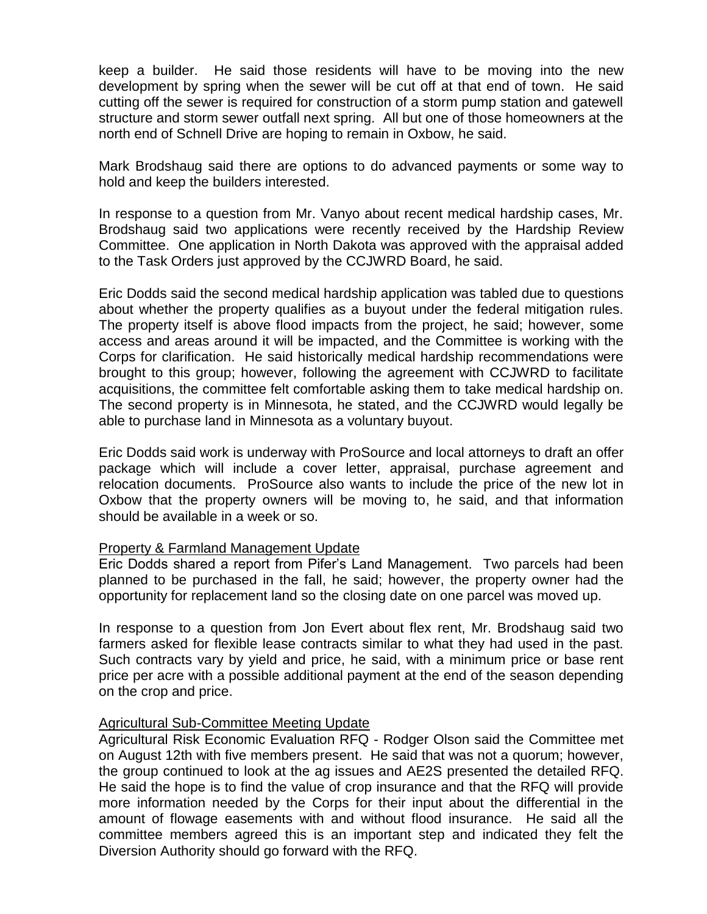keep a builder. He said those residents will have to be moving into the new development by spring when the sewer will be cut off at that end of town. He said cutting off the sewer is required for construction of a storm pump station and gatewell structure and storm sewer outfall next spring. All but one of those homeowners at the north end of Schnell Drive are hoping to remain in Oxbow, he said.

Mark Brodshaug said there are options to do advanced payments or some way to hold and keep the builders interested.

In response to a question from Mr. Vanyo about recent medical hardship cases, Mr. Brodshaug said two applications were recently received by the Hardship Review Committee. One application in North Dakota was approved with the appraisal added to the Task Orders just approved by the CCJWRD Board, he said.

Eric Dodds said the second medical hardship application was tabled due to questions about whether the property qualifies as a buyout under the federal mitigation rules. The property itself is above flood impacts from the project, he said; however, some access and areas around it will be impacted, and the Committee is working with the Corps for clarification. He said historically medical hardship recommendations were brought to this group; however, following the agreement with CCJWRD to facilitate acquisitions, the committee felt comfortable asking them to take medical hardship on. The second property is in Minnesota, he stated, and the CCJWRD would legally be able to purchase land in Minnesota as a voluntary buyout.

Eric Dodds said work is underway with ProSource and local attorneys to draft an offer package which will include a cover letter, appraisal, purchase agreement and relocation documents. ProSource also wants to include the price of the new lot in Oxbow that the property owners will be moving to, he said, and that information should be available in a week or so.

### Property & Farmland Management Update

Eric Dodds shared a report from Pifer's Land Management. Two parcels had been planned to be purchased in the fall, he said; however, the property owner had the opportunity for replacement land so the closing date on one parcel was moved up.

In response to a question from Jon Evert about flex rent, Mr. Brodshaug said two farmers asked for flexible lease contracts similar to what they had used in the past. Such contracts vary by yield and price, he said, with a minimum price or base rent price per acre with a possible additional payment at the end of the season depending on the crop and price.

# Agricultural Sub-Committee Meeting Update

Agricultural Risk Economic Evaluation RFQ - Rodger Olson said the Committee met on August 12th with five members present. He said that was not a quorum; however, the group continued to look at the ag issues and AE2S presented the detailed RFQ. He said the hope is to find the value of crop insurance and that the RFQ will provide more information needed by the Corps for their input about the differential in the amount of flowage easements with and without flood insurance. He said all the committee members agreed this is an important step and indicated they felt the Diversion Authority should go forward with the RFQ.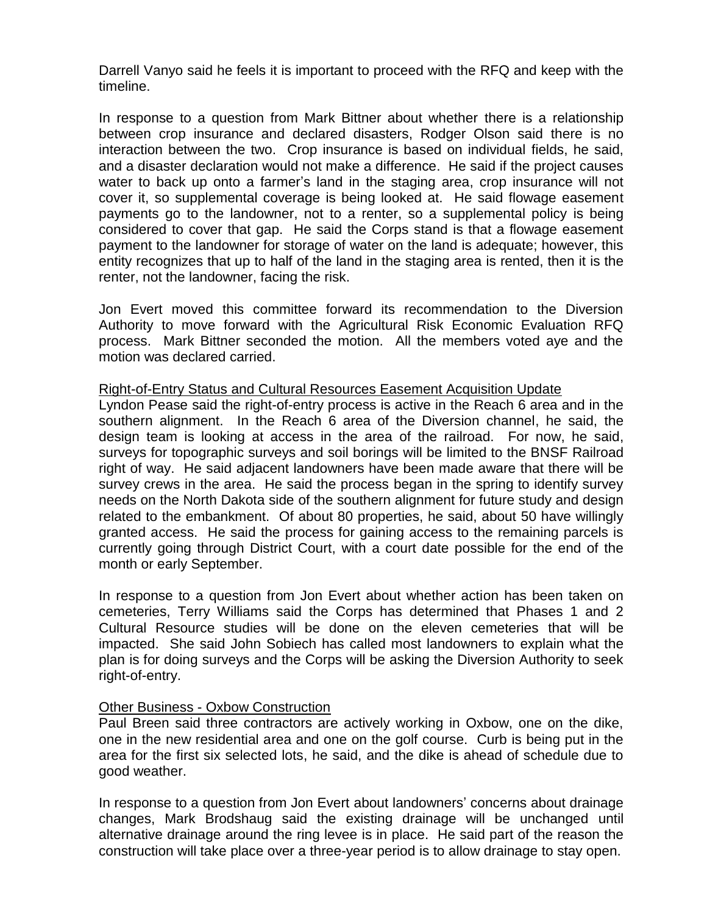Darrell Vanyo said he feels it is important to proceed with the RFQ and keep with the timeline.

In response to a question from Mark Bittner about whether there is a relationship between crop insurance and declared disasters, Rodger Olson said there is no interaction between the two. Crop insurance is based on individual fields, he said, and a disaster declaration would not make a difference. He said if the project causes water to back up onto a farmer's land in the staging area, crop insurance will not cover it, so supplemental coverage is being looked at. He said flowage easement payments go to the landowner, not to a renter, so a supplemental policy is being considered to cover that gap. He said the Corps stand is that a flowage easement payment to the landowner for storage of water on the land is adequate; however, this entity recognizes that up to half of the land in the staging area is rented, then it is the renter, not the landowner, facing the risk.

Jon Evert moved this committee forward its recommendation to the Diversion Authority to move forward with the Agricultural Risk Economic Evaluation RFQ process. Mark Bittner seconded the motion. All the members voted aye and the motion was declared carried.

# Right-of-Entry Status and Cultural Resources Easement Acquisition Update

Lyndon Pease said the right-of-entry process is active in the Reach 6 area and in the southern alignment. In the Reach 6 area of the Diversion channel, he said, the design team is looking at access in the area of the railroad. For now, he said, surveys for topographic surveys and soil borings will be limited to the BNSF Railroad right of way. He said adjacent landowners have been made aware that there will be survey crews in the area. He said the process began in the spring to identify survey needs on the North Dakota side of the southern alignment for future study and design related to the embankment. Of about 80 properties, he said, about 50 have willingly granted access. He said the process for gaining access to the remaining parcels is currently going through District Court, with a court date possible for the end of the month or early September.

In response to a question from Jon Evert about whether action has been taken on cemeteries, Terry Williams said the Corps has determined that Phases 1 and 2 Cultural Resource studies will be done on the eleven cemeteries that will be impacted. She said John Sobiech has called most landowners to explain what the plan is for doing surveys and the Corps will be asking the Diversion Authority to seek right-of-entry.

### Other Business - Oxbow Construction

Paul Breen said three contractors are actively working in Oxbow, one on the dike, one in the new residential area and one on the golf course. Curb is being put in the area for the first six selected lots, he said, and the dike is ahead of schedule due to good weather.

In response to a question from Jon Evert about landowners' concerns about drainage changes, Mark Brodshaug said the existing drainage will be unchanged until alternative drainage around the ring levee is in place. He said part of the reason the construction will take place over a three-year period is to allow drainage to stay open.